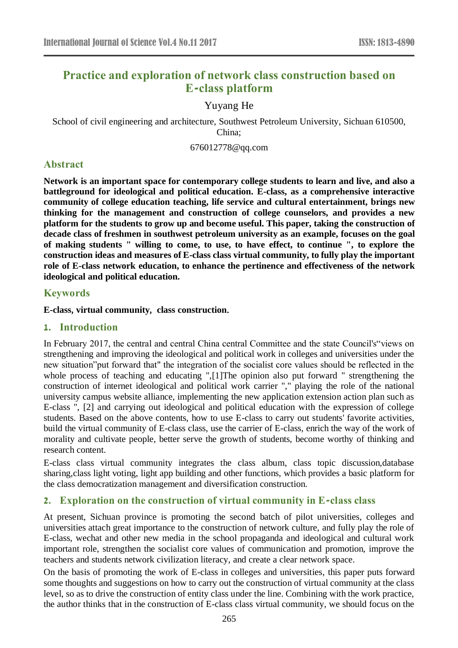# **Practice and exploration of network class construction based on E-class platform**

# Yuyang He

School of civil engineering and architecture, Southwest Petroleum University, Sichuan 610500, China;

676012778@qq.com

# **Abstract**

**Network is an important space for contemporary college students to learn and live, and also a battleground for ideological and political education. E-class, as a comprehensive interactive community of college education teaching, life service and cultural entertainment, brings new thinking for the management and construction of college counselors, and provides a new platform for the students to grow up and become useful. This paper, taking the construction of decade class of freshmen in southwest petroleum university as an example, focuses on the goal of making students " willing to come, to use, to have effect, to continue ", to explore the construction ideas and measures of E-class class virtual community, to fully play the important role of E-class network education, to enhance the pertinence and effectiveness of the network ideological and political education.**

### **Keywords**

**E-class**,**virtual community**, **class construction**.

### **1. Introduction**

In February 2017, the central and central China central Committee and the state Council's"views on strengthening and improving the ideological and political work in colleges and universities under the new situation"put forward that" the integration of the socialist core values should be reflected in the whole process of teaching and educating ",[1]The opinion also put forward " strengthening the construction of internet ideological and political work carrier "," playing the role of the national university campus website alliance, implementing the new application extension action plan such as E-class ", [2] and carrying out ideological and political education with the expression of college students. Based on the above contents, how to use E-class to carry out students' favorite activities, build the virtual community of E-class class, use the carrier of E-class, enrich the way of the work of morality and cultivate people, better serve the growth of students, become worthy of thinking and research content.

E-class class virtual community integrates the class album, class topic discussion,database sharing,class light voting, light app building and other functions, which provides a basic platform for the class democratization management and diversification construction.

### **2. Exploration on the construction of virtual community in E-class class**

At present, Sichuan province is promoting the second batch of pilot universities, colleges and universities attach great importance to the construction of network culture, and fully play the role of E-class, wechat and other new media in the school propaganda and ideological and cultural work important role, strengthen the socialist core values of communication and promotion, improve the teachers and students network civilization literacy, and create a clear network space.

On the basis of promoting the work of E-class in colleges and universities, this paper puts forward some thoughts and suggestions on how to carry out the construction of virtual community at the class level, so as to drive the construction of entity class under the line. Combining with the work practice, the author thinks that in the construction of E-class class virtual community, we should focus on the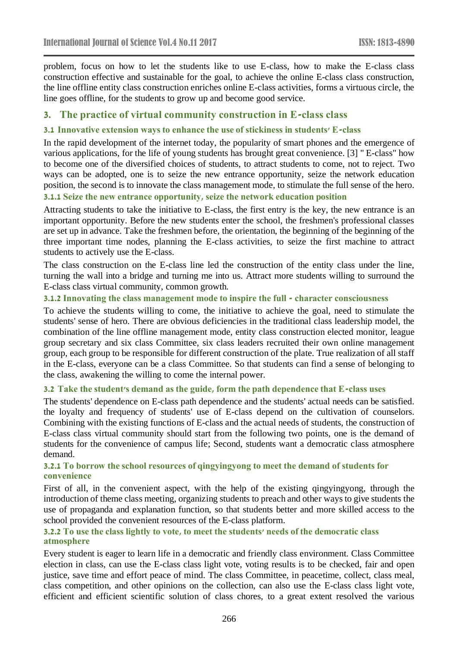problem, focus on how to let the students like to use E-class, how to make the E-class class construction effective and sustainable for the goal, to achieve the online E-class class construction, the line offline entity class construction enriches online E-class activities, forms a virtuous circle, the line goes offline, for the students to grow up and become good service.

### **3. The practice of virtual community construction in E-class class**

#### **3.1 Innovative extension ways to enhance the use of stickiness in students' E-class**

In the rapid development of the internet today, the popularity of smart phones and the emergence of various applications, for the life of young students has brought great convenience. [3] " E-class" how to become one of the diversified choices of students, to attract students to come, not to reject. Two ways can be adopted, one is to seize the new entrance opportunity, seize the network education position, the second is to innovate the class management mode, to stimulate the full sense of the hero. **3.1.1 Seize the new entrance opportunity, seize the network education position**

Attracting students to take the initiative to E-class, the first entry is the key, the new entrance is an important opportunity. Before the new students enter the school, the freshmen's professional classes are set up in advance. Take the freshmen before, the orientation, the beginning of the beginning of the three important time nodes, planning the E-class activities, to seize the first machine to attract students to actively use the E-class.

The class construction on the E-class line led the construction of the entity class under the line, turning the wall into a bridge and turning me into us. Attract more students willing to surround the E-class class virtual community, common growth.

#### **3.1.2 Innovating the class management mode to inspire the full - character consciousness**

To achieve the students willing to come, the initiative to achieve the goal, need to stimulate the students' sense of hero. There are obvious deficiencies in the traditional class leadership model, the combination of the line offline management mode, entity class construction elected monitor, league group secretary and six class Committee, six class leaders recruited their own online management group, each group to be responsible for different construction of the plate. True realization of all staff in the E-class, everyone can be a class Committee. So that students can find a sense of belonging to the class, awakening the willing to come the internal power.

#### **3.2 Take the student's demand as the guide, form the path dependence that E-class uses**

The students' dependence on E-class path dependence and the students' actual needs can be satisfied. the loyalty and frequency of students' use of E-class depend on the cultivation of counselors. Combining with the existing functions of E-class and the actual needs of students, the construction of E-class class virtual community should start from the following two points, one is the demand of students for the convenience of campus life; Second, students want a democratic class atmosphere demand.

### **3.2.1 To borrow the school resources of qingyingyong to meet the demand of students for convenience**

First of all, in the convenient aspect, with the help of the existing qingyingyong, through the introduction of theme class meeting, organizing students to preach and other ways to give students the use of propaganda and explanation function, so that students better and more skilled access to the school provided the convenient resources of the E-class platform.

#### **3.2.2 To use the class lightly to vote, to meet the students' needs of the democratic class atmosphere**

Every student is eager to learn life in a democratic and friendly class environment. Class Committee election in class, can use the E-class class light vote, voting results is to be checked, fair and open justice, save time and effort peace of mind. The class Committee, in peacetime, collect, class meal, class competition, and other opinions on the collection, can also use the E-class class light vote, efficient and efficient scientific solution of class chores, to a great extent resolved the various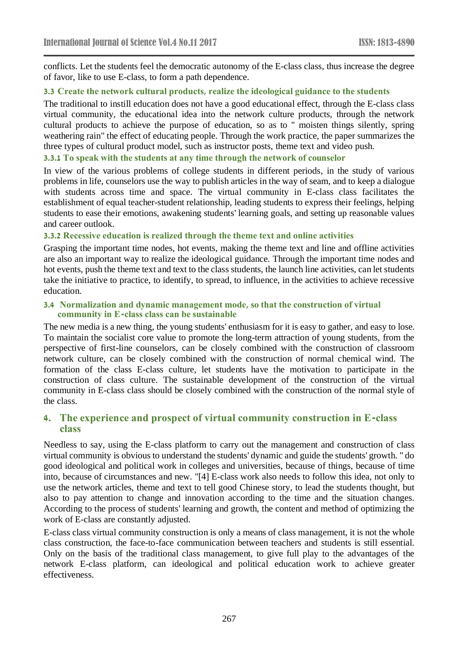conflicts. Let the students feel the democratic autonomy of the E-class class, thus increase the degree of favor, like to use E-class, to form a path dependence.

#### **3.3 Create the network cultural products, realize the ideological guidance to the students**

The traditional to instill education does not have a good educational effect, through the E-class class virtual community, the educational idea into the network culture products, through the network cultural products to achieve the purpose of education, so as to " moisten things silently, spring weathering rain" the effect of educating people. Through the work practice, the paper summarizes the three types of cultural product model, such as instructor posts, theme text and video push.

#### **3.3.1 To speak with the students at any time through the network of counselor**

In view of the various problems of college students in different periods, in the study of various problems in life, counselors use the way to publish articles in the way of seam, and to keep a dialogue with students across time and space. The virtual community in E-class class facilitates the establishment of equal teacher-student relationship, leading students to express their feelings, helping students to ease their emotions, awakening students' learning goals, and setting up reasonable values and career outlook.

#### **3.3.2 Recessive education is realized through the theme text and online activities**

Grasping the important time nodes, hot events, making the theme text and line and offline activities are also an important way to realize the ideological guidance. Through the important time nodes and hot events, push the theme text and text to the class students, the launch line activities, can let students take the initiative to practice, to identify, to spread, to influence, in the activities to achieve recessive education.

#### **3.4 Normalization and dynamic management mode, so that the construction of virtual community in E-class class can be sustainable**

The new media is a new thing, the young students' enthusiasm for it is easy to gather, and easy to lose. To maintain the socialist core value to promote the long-term attraction of young students, from the perspective of first-line counselors, can be closely combined with the construction of classroom network culture, can be closely combined with the construction of normal chemical wind. The formation of the class E-class culture, let students have the motivation to participate in the construction of class culture. The sustainable development of the construction of the virtual community in E-class class should be closely combined with the construction of the normal style of the class.

### **4. The experience and prospect of virtual community construction in E-class class**

Needless to say, using the E-class platform to carry out the management and construction of class virtual community is obvious to understand the students' dynamic and guide the students' growth. " do good ideological and political work in colleges and universities, because of things, because of time into, because of circumstances and new. "[4] E-class work also needs to follow this idea, not only to use the network articles, theme and text to tell good Chinese story, to lead the students thought, but also to pay attention to change and innovation according to the time and the situation changes. According to the process of students' learning and growth, the content and method of optimizing the work of E-class are constantly adjusted.

E-class class virtual community construction is only a means of class management, it is not the whole class construction, the face-to-face communication between teachers and students is still essential. Only on the basis of the traditional class management, to give full play to the advantages of the network E-class platform, can ideological and political education work to achieve greater effectiveness.